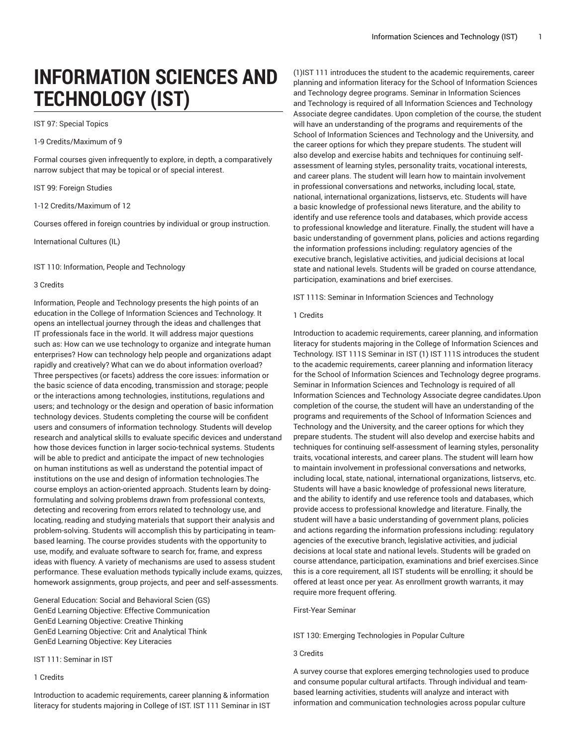# **INFORMATION SCIENCES AND TECHNOLOGY (IST)**

IST 97: Special Topics

1-9 Credits/Maximum of 9

Formal courses given infrequently to explore, in depth, a comparatively narrow subject that may be topical or of special interest.

IST 99: Foreign Studies

1-12 Credits/Maximum of 12

Courses offered in foreign countries by individual or group instruction.

International Cultures (IL)

IST 110: Information, People and Technology

## 3 Credits

Information, People and Technology presents the high points of an education in the College of Information Sciences and Technology. It opens an intellectual journey through the ideas and challenges that IT professionals face in the world. It will address major questions such as: How can we use technology to organize and integrate human enterprises? How can technology help people and organizations adapt rapidly and creatively? What can we do about information overload? Three perspectives (or facets) address the core issues: information or the basic science of data encoding, transmission and storage; people or the interactions among technologies, institutions, regulations and users; and technology or the design and operation of basic information technology devices. Students completing the course will be confident users and consumers of information technology. Students will develop research and analytical skills to evaluate specific devices and understand how those devices function in larger socio-technical systems. Students will be able to predict and anticipate the impact of new technologies on human institutions as well as understand the potential impact of institutions on the use and design of information technologies.The course employs an action-oriented approach. Students learn by doingformulating and solving problems drawn from professional contexts, detecting and recovering from errors related to technology use, and locating, reading and studying materials that support their analysis and problem-solving. Students will accomplish this by participating in teambased learning. The course provides students with the opportunity to use, modify, and evaluate software to search for, frame, and express ideas with fluency. A variety of mechanisms are used to assess student performance. These evaluation methods typically include exams, quizzes, homework assignments, group projects, and peer and self-assessments.

General Education: Social and Behavioral Scien (GS) GenEd Learning Objective: Effective Communication GenEd Learning Objective: Creative Thinking GenEd Learning Objective: Crit and Analytical Think GenEd Learning Objective: Key Literacies

IST 111: Seminar in IST

# 1 Credits

Introduction to academic requirements, career planning & information literacy for students majoring in College of IST. IST 111 Seminar in IST

(1)IST 111 introduces the student to the academic requirements, career planning and information literacy for the School of Information Sciences and Technology degree programs. Seminar in Information Sciences and Technology is required of all Information Sciences and Technology Associate degree candidates. Upon completion of the course, the student will have an understanding of the programs and requirements of the School of Information Sciences and Technology and the University, and the career options for which they prepare students. The student will also develop and exercise habits and techniques for continuing selfassessment of learning styles, personality traits, vocational interests, and career plans. The student will learn how to maintain involvement in professional conversations and networks, including local, state, national, international organizations, listservs, etc. Students will have a basic knowledge of professional news literature, and the ability to identify and use reference tools and databases, which provide access to professional knowledge and literature. Finally, the student will have a basic understanding of government plans, policies and actions regarding the information professions including: regulatory agencies of the executive branch, legislative activities, and judicial decisions at local state and national levels. Students will be graded on course attendance, participation, examinations and brief exercises.

IST 111S: Seminar in Information Sciences and Technology

## 1 Credits

Introduction to academic requirements, career planning, and information literacy for students majoring in the College of Information Sciences and Technology. IST 111S Seminar in IST (1) IST 111S introduces the student to the academic requirements, career planning and information literacy for the School of Information Sciences and Technology degree programs. Seminar in Information Sciences and Technology is required of all Information Sciences and Technology Associate degree candidates.Upon completion of the course, the student will have an understanding of the programs and requirements of the School of Information Sciences and Technology and the University, and the career options for which they prepare students. The student will also develop and exercise habits and techniques for continuing self-assessment of learning styles, personality traits, vocational interests, and career plans. The student will learn how to maintain involvement in professional conversations and networks, including local, state, national, international organizations, listservs, etc. Students will have a basic knowledge of professional news literature, and the ability to identify and use reference tools and databases, which provide access to professional knowledge and literature. Finally, the student will have a basic understanding of government plans, policies and actions regarding the information professions including: regulatory agencies of the executive branch, legislative activities, and judicial decisions at local state and national levels. Students will be graded on course attendance, participation, examinations and brief exercises.Since this is a core requirement, all IST students will be enrolling; it should be offered at least once per year. As enrollment growth warrants, it may require more frequent offering.

First-Year Seminar

IST 130: Emerging Technologies in Popular Culture

3 Credits

A survey course that explores emerging technologies used to produce and consume popular cultural artifacts. Through individual and teambased learning activities, students will analyze and interact with information and communication technologies across popular culture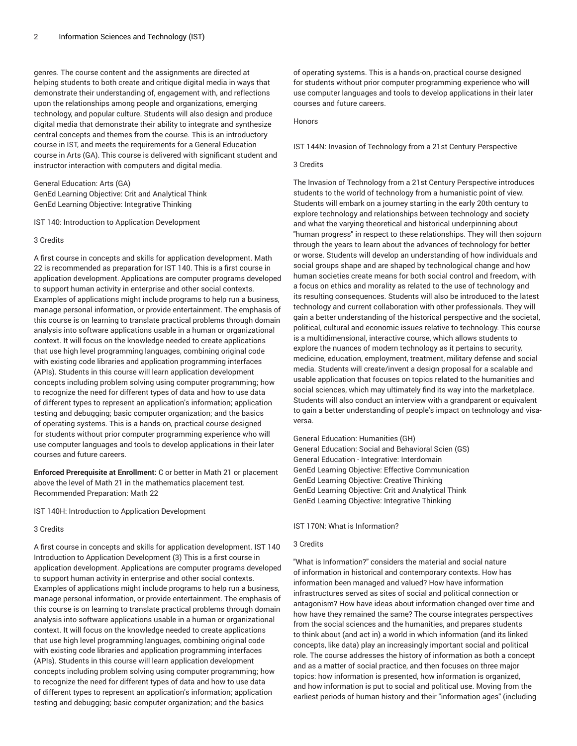genres. The course content and the assignments are directed at helping students to both create and critique digital media in ways that demonstrate their understanding of, engagement with, and reflections upon the relationships among people and organizations, emerging technology, and popular culture. Students will also design and produce digital media that demonstrate their ability to integrate and synthesize central concepts and themes from the course. This is an introductory course in IST, and meets the requirements for a General Education course in Arts (GA). This course is delivered with significant student and instructor interaction with computers and digital media.

General Education: Arts (GA) GenEd Learning Objective: Crit and Analytical Think GenEd Learning Objective: Integrative Thinking

IST 140: Introduction to Application Development

#### 3 Credits

A first course in concepts and skills for application development. Math 22 is recommended as preparation for IST 140. This is a first course in application development. Applications are computer programs developed to support human activity in enterprise and other social contexts. Examples of applications might include programs to help run a business, manage personal information, or provide entertainment. The emphasis of this course is on learning to translate practical problems through domain analysis into software applications usable in a human or organizational context. It will focus on the knowledge needed to create applications that use high level programming languages, combining original code with existing code libraries and application programming interfaces (APIs). Students in this course will learn application development concepts including problem solving using computer programming; how to recognize the need for different types of data and how to use data of different types to represent an application's information; application testing and debugging; basic computer organization; and the basics of operating systems. This is a hands-on, practical course designed for students without prior computer programming experience who will use computer languages and tools to develop applications in their later courses and future careers.

**Enforced Prerequisite at Enrollment:** C or better in Math 21 or placement above the level of Math 21 in the mathematics placement test. Recommended Preparation: Math 22

IST 140H: Introduction to Application Development

## 3 Credits

A first course in concepts and skills for application development. IST 140 Introduction to Application Development (3) This is a first course in application development. Applications are computer programs developed to support human activity in enterprise and other social contexts. Examples of applications might include programs to help run a business, manage personal information, or provide entertainment. The emphasis of this course is on learning to translate practical problems through domain analysis into software applications usable in a human or organizational context. It will focus on the knowledge needed to create applications that use high level programming languages, combining original code with existing code libraries and application programming interfaces (APIs). Students in this course will learn application development concepts including problem solving using computer programming; how to recognize the need for different types of data and how to use data of different types to represent an application's information; application testing and debugging; basic computer organization; and the basics

of operating systems. This is a hands-on, practical course designed for students without prior computer programming experience who will use computer languages and tools to develop applications in their later courses and future careers.

#### Honors

#### IST 144N: Invasion of Technology from a 21st Century Perspective

## 3 Credits

The Invasion of Technology from a 21st Century Perspective introduces students to the world of technology from a humanistic point of view. Students will embark on a journey starting in the early 20th century to explore technology and relationships between technology and society and what the varying theoretical and historical underpinning about "human progress" in respect to these relationships. They will then sojourn through the years to learn about the advances of technology for better or worse. Students will develop an understanding of how individuals and social groups shape and are shaped by technological change and how human societies create means for both social control and freedom, with a focus on ethics and morality as related to the use of technology and its resulting consequences. Students will also be introduced to the latest technology and current collaboration with other professionals. They will gain a better understanding of the historical perspective and the societal, political, cultural and economic issues relative to technology. This course is a multidimensional, interactive course, which allows students to explore the nuances of modern technology as it pertains to security, medicine, education, employment, treatment, military defense and social media. Students will create/invent a design proposal for a scalable and usable application that focuses on topics related to the humanities and social sciences, which may ultimately find its way into the marketplace. Students will also conduct an interview with a grandparent or equivalent to gain a better understanding of people's impact on technology and visaversa.

General Education: Humanities (GH) General Education: Social and Behavioral Scien (GS) General Education - Integrative: Interdomain GenEd Learning Objective: Effective Communication GenEd Learning Objective: Creative Thinking GenEd Learning Objective: Crit and Analytical Think GenEd Learning Objective: Integrative Thinking

## IST 170N: What is Information?

# 3 Credits

"What is Information?" considers the material and social nature of information in historical and contemporary contexts. How has information been managed and valued? How have information infrastructures served as sites of social and political connection or antagonism? How have ideas about information changed over time and how have they remained the same? The course integrates perspectives from the social sciences and the humanities, and prepares students to think about (and act in) a world in which information (and its linked concepts, like data) play an increasingly important social and political role. The course addresses the history of information as both a concept and as a matter of social practice, and then focuses on three major topics: how information is presented, how information is organized, and how information is put to social and political use. Moving from the earliest periods of human history and their "information ages" (including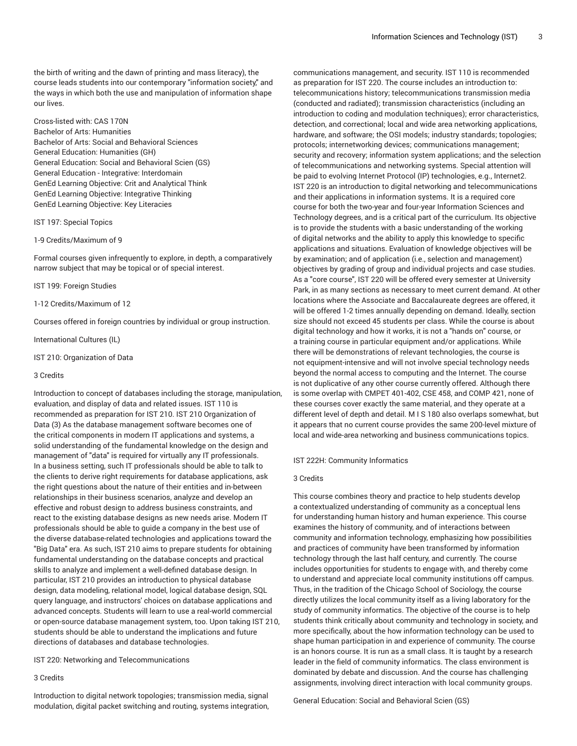the birth of writing and the dawn of printing and mass literacy), the course leads students into our contemporary "information society," and the ways in which both the use and manipulation of information shape our lives.

Cross-listed with: CAS 170N Bachelor of Arts: Humanities Bachelor of Arts: Social and Behavioral Sciences General Education: Humanities (GH) General Education: Social and Behavioral Scien (GS) General Education - Integrative: Interdomain GenEd Learning Objective: Crit and Analytical Think GenEd Learning Objective: Integrative Thinking GenEd Learning Objective: Key Literacies

IST 197: Special Topics

#### 1-9 Credits/Maximum of 9

Formal courses given infrequently to explore, in depth, a comparatively narrow subject that may be topical or of special interest.

IST 199: Foreign Studies

1-12 Credits/Maximum of 12

Courses offered in foreign countries by individual or group instruction.

International Cultures (IL)

IST 210: Organization of Data

## 3 Credits

Introduction to concept of databases including the storage, manipulation, evaluation, and display of data and related issues. IST 110 is recommended as preparation for IST 210. IST 210 Organization of Data (3) As the database management software becomes one of the critical components in modern IT applications and systems, a solid understanding of the fundamental knowledge on the design and management of "data" is required for virtually any IT professionals. In a business setting, such IT professionals should be able to talk to the clients to derive right requirements for database applications, ask the right questions about the nature of their entities and in-between relationships in their business scenarios, analyze and develop an effective and robust design to address business constraints, and react to the existing database designs as new needs arise. Modern IT professionals should be able to guide a company in the best use of the diverse database-related technologies and applications toward the "Big Data" era. As such, IST 210 aims to prepare students for obtaining fundamental understanding on the database concepts and practical skills to analyze and implement a well-defined database design. In particular, IST 210 provides an introduction to physical database design, data modeling, relational model, logical database design, SQL query language, and instructors' choices on database applications and advanced concepts. Students will learn to use a real-world commercial or open-source database management system, too. Upon taking IST 210, students should be able to understand the implications and future directions of databases and database technologies.

IST 220: Networking and Telecommunications

## 3 Credits

Introduction to digital network topologies; transmission media, signal modulation, digital packet switching and routing, systems integration,

communications management, and security. IST 110 is recommended as preparation for IST 220. The course includes an introduction to: telecommunications history; telecommunications transmission media (conducted and radiated); transmission characteristics (including an introduction to coding and modulation techniques); error characteristics, detection, and correctional; local and wide area networking applications, hardware, and software; the OSI models; industry standards; topologies; protocols; internetworking devices; communications management; security and recovery; information system applications; and the selection of telecommunications and networking systems. Special attention will be paid to evolving Internet Protocol (IP) technologies, e.g., Internet2. IST 220 is an introduction to digital networking and telecommunications and their applications in information systems. It is a required core course for both the two-year and four-year Information Sciences and Technology degrees, and is a critical part of the curriculum. Its objective is to provide the students with a basic understanding of the working of digital networks and the ability to apply this knowledge to specific applications and situations. Evaluation of knowledge objectives will be by examination; and of application (i.e., selection and management) objectives by grading of group and individual projects and case studies. As a "core course", IST 220 will be offered every semester at University Park, in as many sections as necessary to meet current demand. At other locations where the Associate and Baccalaureate degrees are offered, it will be offered 1-2 times annually depending on demand. Ideally, section size should not exceed 45 students per class. While the course is about digital technology and how it works, it is not a "hands on" course, or a training course in particular equipment and/or applications. While there will be demonstrations of relevant technologies, the course is not equipment-intensive and will not involve special technology needs beyond the normal access to computing and the Internet. The course is not duplicative of any other course currently offered. Although there is some overlap with CMPET 401-402, CSE 458, and COMP 421, none of these courses cover exactly the same material, and they operate at a different level of depth and detail. M I S 180 also overlaps somewhat, but it appears that no current course provides the same 200-level mixture of local and wide-area networking and business communications topics.

## IST 222H: Community Informatics

#### 3 Credits

This course combines theory and practice to help students develop a contextualized understanding of community as a conceptual lens for understanding human history and human experience. This course examines the history of community, and of interactions between community and information technology, emphasizing how possibilities and practices of community have been transformed by information technology through the last half century, and currently. The course includes opportunities for students to engage with, and thereby come to understand and appreciate local community institutions off campus. Thus, in the tradition of the Chicago School of Sociology, the course directly utilizes the local community itself as a living laboratory for the study of community informatics. The objective of the course is to help students think critically about community and technology in society, and more specifically, about the how information technology can be used to shape human participation in and experience of community. The course is an honors course. It is run as a small class. It is taught by a research leader in the field of community informatics. The class environment is dominated by debate and discussion. And the course has challenging assignments, involving direct interaction with local community groups.

General Education: Social and Behavioral Scien (GS)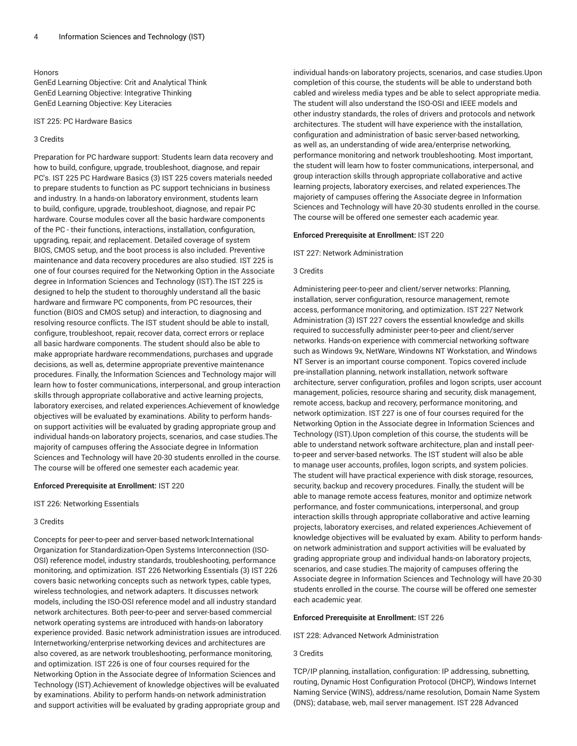## Honors

GenEd Learning Objective: Crit and Analytical Think GenEd Learning Objective: Integrative Thinking GenEd Learning Objective: Key Literacies

IST 225: PC Hardware Basics

#### 3 Credits

Preparation for PC hardware support: Students learn data recovery and how to build, configure, upgrade, troubleshoot, diagnose, and repair PC's. IST 225 PC Hardware Basics (3) IST 225 covers materials needed to prepare students to function as PC support technicians in business and industry. In a hands-on laboratory environment, students learn to build, configure, upgrade, troubleshoot, diagnose, and repair PC hardware. Course modules cover all the basic hardware components of the PC - their functions, interactions, installation, configuration, upgrading, repair, and replacement. Detailed coverage of system BIOS, CMOS setup, and the boot process is also included. Preventive maintenance and data recovery procedures are also studied. IST 225 is one of four courses required for the Networking Option in the Associate degree in Information Sciences and Technology (IST).The IST 225 is designed to help the student to thoroughly understand all the basic hardware and firmware PC components, from PC resources, their function (BIOS and CMOS setup) and interaction, to diagnosing and resolving resource conflicts. The IST student should be able to install, configure, troubleshoot, repair, recover data, correct errors or replace all basic hardware components. The student should also be able to make appropriate hardware recommendations, purchases and upgrade decisions, as well as, determine appropriate preventive maintenance procedures. Finally, the Information Sciences and Technology major will learn how to foster communications, interpersonal, and group interaction skills through appropriate collaborative and active learning projects, laboratory exercises, and related experiences.Achievement of knowledge objectives will be evaluated by examinations. Ability to perform handson support activities will be evaluated by grading appropriate group and individual hands-on laboratory projects, scenarios, and case studies.The majority of campuses offering the Associate degree in Information Sciences and Technology will have 20-30 students enrolled in the course. The course will be offered one semester each academic year.

## **Enforced Prerequisite at Enrollment:** IST 220

IST 226: Networking Essentials

#### 3 Credits

Concepts for peer-to-peer and server-based network:International Organization for Standardization-Open Systems Interconnection (ISO-OSI) reference model, industry standards, troubleshooting, performance monitoring, and optimization. IST 226 Networking Essentials (3) IST 226 covers basic networking concepts such as network types, cable types, wireless technologies, and network adapters. It discusses network models, including the ISO-OSI reference model and all industry standard network architectures. Both peer-to-peer and server-based commercial network operating systems are introduced with hands-on laboratory experience provided. Basic network administration issues are introduced. Internetworking/enterprise networking devices and architectures are also covered, as are network troubleshooting, performance monitoring, and optimization. IST 226 is one of four courses required for the Networking Option in the Associate degree of Information Sciences and Technology (IST).Achievement of knowledge objectives will be evaluated by examinations. Ability to perform hands-on network administration and support activities will be evaluated by grading appropriate group and

individual hands-on laboratory projects, scenarios, and case studies.Upon completion of this course, the students will be able to understand both cabled and wireless media types and be able to select appropriate media. The student will also understand the ISO-OSI and IEEE models and other industry standards, the roles of drivers and protocols and network architectures. The student will have experience with the installation, configuration and administration of basic server-based networking, as well as, an understanding of wide area/enterprise networking, performance monitoring and network troubleshooting. Most important, the student will learn how to foster communications, interpersonal, and group interaction skills through appropriate collaborative and active learning projects, laboratory exercises, and related experiences.The majoriety of campuses offering the Associate degree in Information Sciences and Technology will have 20-30 students enrolled in the course. The course will be offered one semester each academic year.

#### **Enforced Prerequisite at Enrollment:** IST 220

IST 227: Network Administration

## 3 Credits

Administering peer-to-peer and client/server networks: Planning, installation, server configuration, resource management, remote access, performance monitoring, and optimization. IST 227 Network Administration (3) IST 227 covers the essential knowledge and skills required to successfully administer peer-to-peer and client/server networks. Hands-on experience with commercial networking software such as Windows 9x, NetWare, Windowns NT Workstation, and Windows NT Server is an important course component. Topics covered include pre-installation planning, network installation, network software architecture, server configuration, profiles and logon scripts, user account management, policies, resource sharing and security, disk management, remote access, backup and recovery, performance monitoring, and network optimization. IST 227 is one of four courses required for the Networking Option in the Associate degree in Information Sciences and Technology (IST).Upon completion of this course, the students will be able to understand network software architecture, plan and install peerto-peer and server-based networks. The IST student will also be able to manage user accounts, profiles, logon scripts, and system policies. The student will have practical experience with disk storage, resources, security, backup and recovery procedures. Finally, the student will be able to manage remote access features, monitor and optimize network performance, and foster communications, interpersonal, and group interaction skills through appropriate collaborative and active learning projects, laboratory exercises, and related experiences.Achievement of knowledge objectives will be evaluated by exam. Ability to perform handson network administration and support activities will be evaluated by grading appropriate group and individual hands-on laboratory projects, scenarios, and case studies.The majority of campuses offering the Associate degree in Information Sciences and Technology will have 20-30 students enrolled in the course. The course will be offered one semester each academic year.

## **Enforced Prerequisite at Enrollment:** IST 226

IST 228: Advanced Network Administration

## 3 Credits

TCP/IP planning, installation, configuration: IP addressing, subnetting, routing, Dynamic Host Configuration Protocol (DHCP), Windows Internet Naming Service (WINS), address/name resolution, Domain Name System (DNS); database, web, mail server management. IST 228 Advanced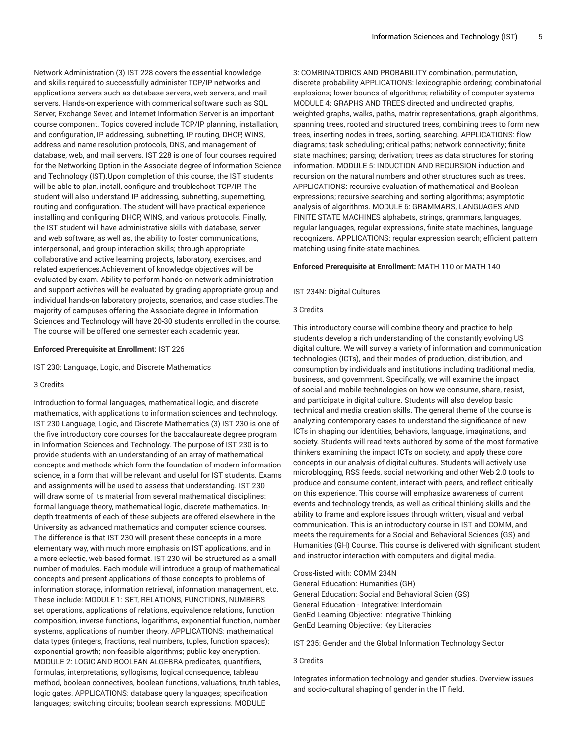Network Administration (3) IST 228 covers the essential knowledge and skills required to successfully administer TCP/IP networks and applications servers such as database servers, web servers, and mail servers. Hands-on experience with commerical software such as SQL Server, Exchange Sever, and Internet Information Server is an important course component. Topics covered include TCP/IP planning, installation, and configuration, IP addressing, subnetting, IP routing, DHCP, WINS, address and name resolution protocols, DNS, and management of database, web, and mail servers. IST 228 is one of four courses required for the Networking Option in the Associate degree of Information Science and Technology (IST).Upon completion of this course, the IST students will be able to plan, install, configure and troubleshoot TCP/IP. The student will also understand IP addressing, subnetting, supernetting, routing and configuration. The student will have practical experience installing and configuring DHCP, WINS, and various protocols. Finally, the IST student will have administrative skills with database, server and web software, as well as, the ability to foster communications, interpersonal, and group interaction skills; through appropriate collaborative and active learning projects, laboratory, exercises, and related experiences.Achievement of knowledge objectives will be evaluated by exam. Ability to perform hands-on network administration and support activites will be evaluated by grading appropriate group and individual hands-on laboratory projects, scenarios, and case studies.The majority of campuses offering the Associate degree in Information Sciences and Technology will have 20-30 students enrolled in the course. The course will be offered one semester each academic year.

# **Enforced Prerequisite at Enrollment:** IST 226

IST 230: Language, Logic, and Discrete Mathematics

# 3 Credits

Introduction to formal languages, mathematical logic, and discrete mathematics, with applications to information sciences and technology. IST 230 Language, Logic, and Discrete Mathematics (3) IST 230 is one of the five introductory core courses for the baccalaureate degree program in Information Sciences and Technology. The purpose of IST 230 is to provide students with an understanding of an array of mathematical concepts and methods which form the foundation of modern information science, in a form that will be relevant and useful for IST students. Exams and assignments will be used to assess that understanding. IST 230 will draw some of its material from several mathematical disciplines: formal language theory, mathematical logic, discrete mathematics. Indepth treatments of each of these subjects are offered elsewhere in the University as advanced mathematics and computer science courses. The difference is that IST 230 will present these concepts in a more elementary way, with much more emphasis on IST applications, and in a more eclectic, web-based format. IST 230 will be structured as a small number of modules. Each module will introduce a group of mathematical concepts and present applications of those concepts to problems of information storage, information retrieval, information management, etc. These include: MODULE 1: SET, RELATIONS, FUNCTIONS, NUMBERS set operations, applications of relations, equivalence relations, function composition, inverse functions, logarithms, exponential function, number systems, applications of number theory. APPLICATIONS: mathematical data types (integers, fractions, real numbers, tuples, function spaces); exponential growth; non-feasible algorithms; public key encryption. MODULE 2: LOGIC AND BOOLEAN ALGEBRA predicates, quantifiers, formulas, interpretations, syllogisms, logical consequence, tableau method, boolean connectives, boolean functions, valuations, truth tables, logic gates. APPLICATIONS: database query languages; specification languages; switching circuits; boolean search expressions. MODULE

3: COMBINATORICS AND PROBABILITY combination, permutation, discrete probability APPLICATIONS: lexicographic ordering; combinatorial explosions; lower bouncs of algorithms; reliability of computer systems MODULE 4: GRAPHS AND TREES directed and undirected graphs, weighted graphs, walks, paths, matrix representations, graph algorithms, spanning trees, rooted and structured trees, combining trees to form new trees, inserting nodes in trees, sorting, searching. APPLICATIONS: flow diagrams; task scheduling; critical paths; network connectivity; finite state machines; parsing; derivation; trees as data structures for storing information. MODULE 5: INDUCTION AND RECURSION induction and recursion on the natural numbers and other structures such as trees. APPLICATIONS: recursive evaluation of mathematical and Boolean expressions; recursive searching and sorting algorithms; asymptotic analysis of algorithms. MODULE 6: GRAMMARS, LANGUAGES AND FINITE STATE MACHINES alphabets, strings, grammars, languages, regular languages, regular expressions, finite state machines, language recognizers. APPLICATIONS: regular expression search; efficient pattern matching using finite-state machines.

# **Enforced Prerequisite at Enrollment:** MATH 110 or MATH 140

# IST 234N: Digital Cultures

# 3 Credits

This introductory course will combine theory and practice to help students develop a rich understanding of the constantly evolving US digital culture. We will survey a variety of information and communication technologies (ICTs), and their modes of production, distribution, and consumption by individuals and institutions including traditional media, business, and government. Specifically, we will examine the impact of social and mobile technologies on how we consume, share, resist, and participate in digital culture. Students will also develop basic technical and media creation skills. The general theme of the course is analyzing contemporary cases to understand the significance of new ICTs in shaping our identities, behaviors, language, imaginations, and society. Students will read texts authored by some of the most formative thinkers examining the impact ICTs on society, and apply these core concepts in our analysis of digital cultures. Students will actively use microblogging, RSS feeds, social networking and other Web 2.0 tools to produce and consume content, interact with peers, and reflect critically on this experience. This course will emphasize awareness of current events and technology trends, as well as critical thinking skills and the ability to frame and explore issues through written, visual and verbal communication. This is an introductory course in IST and COMM, and meets the requirements for a Social and Behavioral Sciences (GS) and Humanities (GH) Course. This course is delivered with significant student and instructor interaction with computers and digital media.

Cross-listed with: COMM 234N General Education: Humanities (GH) General Education: Social and Behavioral Scien (GS) General Education - Integrative: Interdomain GenEd Learning Objective: Integrative Thinking GenEd Learning Objective: Key Literacies

IST 235: Gender and the Global Information Technology Sector

# 3 Credits

Integrates information technology and gender studies. Overview issues and socio-cultural shaping of gender in the IT field.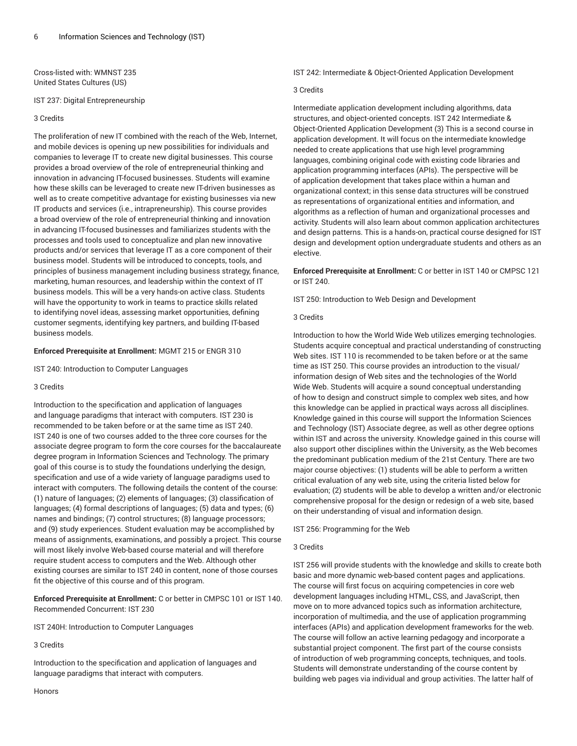Cross-listed with: WMNST 235 United States Cultures (US)

IST 237: Digital Entrepreneurship

## 3 Credits

The proliferation of new IT combined with the reach of the Web, Internet, and mobile devices is opening up new possibilities for individuals and companies to leverage IT to create new digital businesses. This course provides a broad overview of the role of entrepreneurial thinking and innovation in advancing IT-focused businesses. Students will examine how these skills can be leveraged to create new IT-driven businesses as well as to create competitive advantage for existing businesses via new IT products and services (i.e., intrapreneurship). This course provides a broad overview of the role of entrepreneurial thinking and innovation in advancing IT-focused businesses and familiarizes students with the processes and tools used to conceptualize and plan new innovative products and/or services that leverage IT as a core component of their business model. Students will be introduced to concepts, tools, and principles of business management including business strategy, finance, marketing, human resources, and leadership within the context of IT business models. This will be a very hands-on active class. Students will have the opportunity to work in teams to practice skills related to identifying novel ideas, assessing market opportunities, defining customer segments, identifying key partners, and building IT-based business models.

# **Enforced Prerequisite at Enrollment:** MGMT 215 or ENGR 310

IST 240: Introduction to Computer Languages

## 3 Credits

Introduction to the specification and application of languages and language paradigms that interact with computers. IST 230 is recommended to be taken before or at the same time as IST 240. IST 240 is one of two courses added to the three core courses for the associate degree program to form the core courses for the baccalaureate degree program in Information Sciences and Technology. The primary goal of this course is to study the foundations underlying the design, specification and use of a wide variety of language paradigms used to interact with computers. The following details the content of the course: (1) nature of languages; (2) elements of languages; (3) classification of languages; (4) formal descriptions of languages; (5) data and types; (6) names and bindings; (7) control structures; (8) language processors; and (9) study experiences. Student evaluation may be accomplished by means of assignments, examinations, and possibly a project. This course will most likely involve Web-based course material and will therefore require student access to computers and the Web. Although other existing courses are similar to IST 240 in content, none of those courses fit the objective of this course and of this program.

**Enforced Prerequisite at Enrollment:** C or better in CMPSC 101 or IST 140. Recommended Concurrent: IST 230

IST 240H: Introduction to Computer Languages

3 Credits

Introduction to the specification and application of languages and language paradigms that interact with computers.

IST 242: Intermediate & Object-Oriented Application Development

## 3 Credits

Intermediate application development including algorithms, data structures, and object-oriented concepts. IST 242 Intermediate & Object-Oriented Application Development (3) This is a second course in application development. It will focus on the intermediate knowledge needed to create applications that use high level programming languages, combining original code with existing code libraries and application programming interfaces (APIs). The perspective will be of application development that takes place within a human and organizational context; in this sense data structures will be construed as representations of organizational entities and information, and algorithms as a reflection of human and organizational processes and activity. Students will also learn about common application architectures and design patterns. This is a hands-on, practical course designed for IST design and development option undergraduate students and others as an elective.

**Enforced Prerequisite at Enrollment:** C or better in IST 140 or CMPSC 121 or IST 240.

IST 250: Introduction to Web Design and Development

# 3 Credits

Introduction to how the World Wide Web utilizes emerging technologies. Students acquire conceptual and practical understanding of constructing Web sites. IST 110 is recommended to be taken before or at the same time as IST 250. This course provides an introduction to the visual/ information design of Web sites and the technologies of the World Wide Web. Students will acquire a sound conceptual understanding of how to design and construct simple to complex web sites, and how this knowledge can be applied in practical ways across all disciplines. Knowledge gained in this course will support the Information Sciences and Technology (IST) Associate degree, as well as other degree options within IST and across the university. Knowledge gained in this course will also support other disciplines within the University, as the Web becomes the predominant publication medium of the 21st Century. There are two major course objectives: (1) students will be able to perform a written critical evaluation of any web site, using the criteria listed below for evaluation; (2) students will be able to develop a written and/or electronic comprehensive proposal for the design or redesign of a web site, based on their understanding of visual and information design.

IST 256: Programming for the Web

## 3 Credits

IST 256 will provide students with the knowledge and skills to create both basic and more dynamic web-based content pages and applications. The course will first focus on acquiring competencies in core web development languages including HTML, CSS, and JavaScript, then move on to more advanced topics such as information architecture, incorporation of multimedia, and the use of application programming interfaces (APIs) and application development frameworks for the web. The course will follow an active learning pedagogy and incorporate a substantial project component. The first part of the course consists of introduction of web programming concepts, techniques, and tools. Students will demonstrate understanding of the course content by building web pages via individual and group activities. The latter half of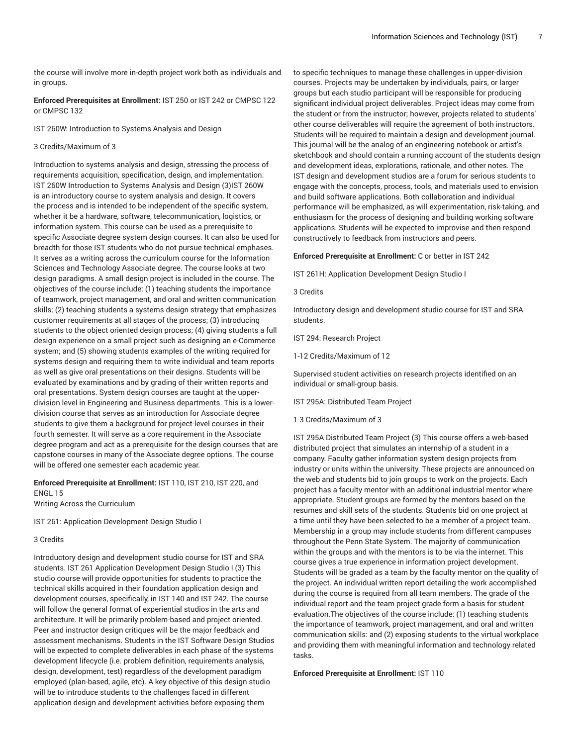the course will involve more in-depth project work both as individuals and in groups.

**Enforced Prerequisites at Enrollment:** IST 250 or IST 242 or CMPSC 122 or CMPSC 132

IST 260W: Introduction to Systems Analysis and Design

#### 3 Credits/Maximum of 3

Introduction to systems analysis and design, stressing the process of requirements acquisition, specification, design, and implementation. IST 260W Introduction to Systems Analysis and Design (3)IST 260W is an introductory course to system analysis and design. It covers the process and is intended to be independent of the specific system, whether it be a hardware, software, telecommunication, logistics, or information system. This course can be used as a prerequisite to specific Associate degree system design courses. It can also be used for breadth for those IST students who do not pursue technical emphases. It serves as a writing across the curriculum course for the Information Sciences and Technology Associate degree. The course looks at two design paradigms. A small design project is included in the course. The objectives of the course include: (1) teaching students the importance of teamwork, project management, and oral and written communication skills; (2) teaching students a systems design strategy that emphasizes customer requirements at all stages of the process; (3) introducing students to the object oriented design process; (4) giving students a full design experience on a small project such as designing an e-Commerce system; and (5) showing students examples of the writing required for systems design and requiring them to write individual and team reports as well as give oral presentations on their designs. Students will be evaluated by examinations and by grading of their written reports and oral presentations. System design courses are taught at the upperdivision level in Engineering and Business departments. This is a lowerdivision course that serves as an introduction for Associate degree students to give them a background for project-level courses in their fourth semester. It will serve as a core requirement in the Associate degree program and act as a prerequisite for the design courses that are capstone courses in many of the Associate degree options. The course will be offered one semester each academic year.

# **Enforced Prerequisite at Enrollment:** IST 110, IST 210, IST 220, and ENGL 15

Writing Across the Curriculum

IST 261: Application Development Design Studio I

## 3 Credits

Introductory design and development studio course for IST and SRA students. IST 261 Application Development Design Studio I (3) This studio course will provide opportunities for students to practice the technical skills acquired in their foundation application design and development courses, specifically, in IST 140 and IST 242. The course will follow the general format of experiential studios in the arts and architecture. It will be primarily problem-based and project oriented. Peer and instructor design critiques will be the major feedback and assessment mechanisms. Students in the IST Software Design Studios will be expected to complete deliverables in each phase of the systems development lifecycle (i.e. problem definition, requirements analysis, design, development, test) regardless of the development paradigm employed (plan-based, agile, etc). A key objective of this design studio will be to introduce students to the challenges faced in different application design and development activities before exposing them

to specific techniques to manage these challenges in upper-division courses. Projects may be undertaken by individuals, pairs, or larger groups but each studio participant will be responsible for producing significant individual project deliverables. Project ideas may come from the student or from the instructor; however, projects related to students' other course deliverables will require the agreement of both instructors. Students will be required to maintain a design and development journal. This journal will be the analog of an engineering notebook or artist's sketchbook and should contain a running account of the students design and development ideas, explorations, rationale, and other notes. The IST design and development studios are a forum for serious students to engage with the concepts, process, tools, and materials used to envision and build software applications. Both collaboration and individual performance will be emphasized, as will experimentation, risk-taking, and enthusiasm for the process of designing and building working software applications. Students will be expected to improvise and then respond constructively to feedback from instructors and peers.

#### **Enforced Prerequisite at Enrollment:** C or better in IST 242

IST 261H: Application Development Design Studio I

3 Credits

Introductory design and development studio course for IST and SRA students.

IST 294: Research Project

1-12 Credits/Maximum of 12

Supervised student activities on research projects identified on an individual or small-group basis.

IST 295A: Distributed Team Project

1-3 Credits/Maximum of 3

IST 295A Distributed Team Project (3) This course offers a web-based distributed project that simulates an internship of a student in a company. Faculty gather information system design projects from industry or units within the university. These projects are announced on the web and students bid to join groups to work on the projects. Each project has a faculty mentor with an additional industrial mentor where appropriate. Student groups are formed by the mentors based on the resumes and skill sets of the students. Students bid on one project at a time until they have been selected to be a member of a project team. Membership in a group may include students from different campuses throughout the Penn State System. The majority of communication within the groups and with the mentors is to be via the internet. This course gives a true experience in information project development. Students will be graded as a team by the faculty mentor on the quality of the project. An individual written report detailing the work accomplished during the course is required from all team members. The grade of the individual report and the team project grade form a basis for student evaluation.The objectives of the course include: (1) teaching students the importance of teamwork, project management, and oral and written communication skills: and (2) exposing students to the virtual workplace and providing them with meaningful information and technology related tasks.

**Enforced Prerequisite at Enrollment:** IST 110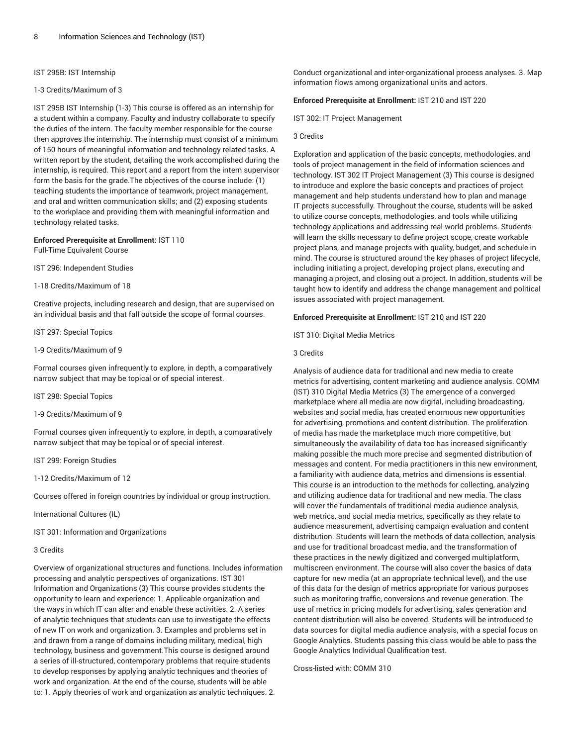## IST 295B: IST Internship

### 1-3 Credits/Maximum of 3

IST 295B IST Internship (1-3) This course is offered as an internship for a student within a company. Faculty and industry collaborate to specify the duties of the intern. The faculty member responsible for the course then approves the internship. The internship must consist of a minimum of 150 hours of meaningful information and technology related tasks. A written report by the student, detailing the work accomplished during the internship, is required. This report and a report from the intern supervisor form the basis for the grade.The objectives of the course include: (1) teaching students the importance of teamwork, project management, and oral and written communication skills; and (2) exposing students to the workplace and providing them with meaningful information and technology related tasks.

# **Enforced Prerequisite at Enrollment:** IST 110

Full-Time Equivalent Course

IST 296: Independent Studies

1-18 Credits/Maximum of 18

Creative projects, including research and design, that are supervised on an individual basis and that fall outside the scope of formal courses.

IST 297: Special Topics

## 1-9 Credits/Maximum of 9

Formal courses given infrequently to explore, in depth, a comparatively narrow subject that may be topical or of special interest.

IST 298: Special Topics

1-9 Credits/Maximum of 9

Formal courses given infrequently to explore, in depth, a comparatively narrow subject that may be topical or of special interest.

IST 299: Foreign Studies

1-12 Credits/Maximum of 12

Courses offered in foreign countries by individual or group instruction.

International Cultures (IL)

IST 301: Information and Organizations

## 3 Credits

Overview of organizational structures and functions. Includes information processing and analytic perspectives of organizations. IST 301 Information and Organizations (3) This course provides students the opportunity to learn and experience: 1. Applicable organization and the ways in which IT can alter and enable these activities. 2. A series of analytic techniques that students can use to investigate the effects of new IT on work and organization. 3. Examples and problems set in and drawn from a range of domains including military, medical, high technology, business and government.This course is designed around a series of ill-structured, contemporary problems that require students to develop responses by applying analytic techniques and theories of work and organization. At the end of the course, students will be able to: 1. Apply theories of work and organization as analytic techniques. 2.

Conduct organizational and inter-organizational process analyses. 3. Map information flows among organizational units and actors.

## **Enforced Prerequisite at Enrollment:** IST 210 and IST 220

IST 302: IT Project Management

## 3 Credits

Exploration and application of the basic concepts, methodologies, and tools of project management in the field of information sciences and technology. IST 302 IT Project Management (3) This course is designed to introduce and explore the basic concepts and practices of project management and help students understand how to plan and manage IT projects successfully. Throughout the course, students will be asked to utilize course concepts, methodologies, and tools while utilizing technology applications and addressing real-world problems. Students will learn the skills necessary to define project scope, create workable project plans, and manage projects with quality, budget, and schedule in mind. The course is structured around the key phases of project lifecycle, including initiating a project, developing project plans, executing and managing a project, and closing out a project. In addition, students will be taught how to identify and address the change management and political issues associated with project management.

**Enforced Prerequisite at Enrollment:** IST 210 and IST 220

IST 310: Digital Media Metrics

#### 3 Credits

Analysis of audience data for traditional and new media to create metrics for advertising, content marketing and audience analysis. COMM (IST) 310 Digital Media Metrics (3) The emergence of a converged marketplace where all media are now digital, including broadcasting, websites and social media, has created enormous new opportunities for advertising, promotions and content distribution. The proliferation of media has made the marketplace much more competitive, but simultaneously the availability of data too has increased significantly making possible the much more precise and segmented distribution of messages and content. For media practitioners in this new environment, a familiarity with audience data, metrics and dimensions is essential. This course is an introduction to the methods for collecting, analyzing and utilizing audience data for traditional and new media. The class will cover the fundamentals of traditional media audience analysis, web metrics, and social media metrics, specifically as they relate to audience measurement, advertising campaign evaluation and content distribution. Students will learn the methods of data collection, analysis and use for traditional broadcast media, and the transformation of these practices in the newly digitized and converged multiplatform, multiscreen environment. The course will also cover the basics of data capture for new media (at an appropriate technical level), and the use of this data for the design of metrics appropriate for various purposes such as monitoring traffic, conversions and revenue generation. The use of metrics in pricing models for advertising, sales generation and content distribution will also be covered. Students will be introduced to data sources for digital media audience analysis, with a special focus on Google Analytics. Students passing this class would be able to pass the Google Analytics Individual Qualification test.

Cross-listed with: COMM 310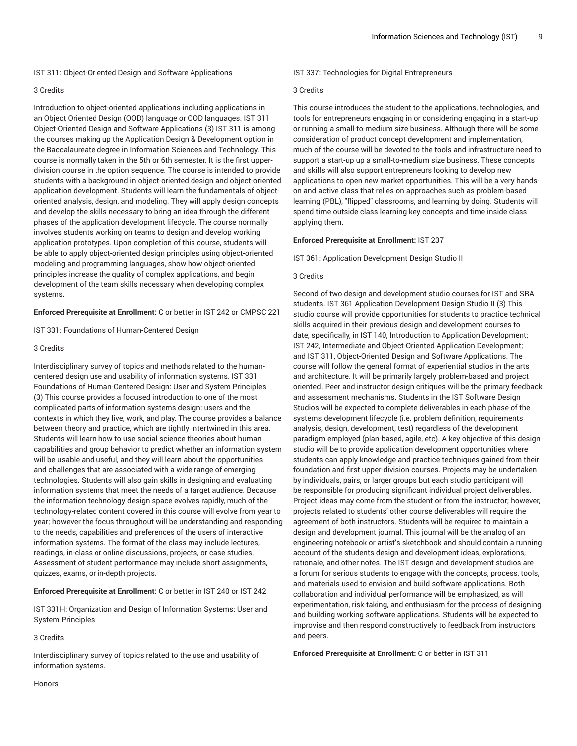IST 311: Object-Oriented Design and Software Applications

### 3 Credits

Introduction to object-oriented applications including applications in an Object Oriented Design (OOD) language or OOD languages. IST 311 Object-Oriented Design and Software Applications (3) IST 311 is among the courses making up the Application Design & Development option in the Baccalaureate degree in Information Sciences and Technology. This course is normally taken in the 5th or 6th semester. It is the first upperdivision course in the option sequence. The course is intended to provide students with a background in object-oriented design and object-oriented application development. Students will learn the fundamentals of objectoriented analysis, design, and modeling. They will apply design concepts and develop the skills necessary to bring an idea through the different phases of the application development lifecycle. The course normally involves students working on teams to design and develop working application prototypes. Upon completion of this course, students will be able to apply object-oriented design principles using object-oriented modeling and programming languages, show how object-oriented principles increase the quality of complex applications, and begin development of the team skills necessary when developing complex systems.

**Enforced Prerequisite at Enrollment:** C or better in IST 242 or CMPSC 221

IST 331: Foundations of Human-Centered Design

## 3 Credits

Interdisciplinary survey of topics and methods related to the humancentered design use and usability of information systems. IST 331 Foundations of Human-Centered Design: User and System Principles (3) This course provides a focused introduction to one of the most complicated parts of information systems design: users and the contexts in which they live, work, and play. The course provides a balance between theory and practice, which are tightly intertwined in this area. Students will learn how to use social science theories about human capabilities and group behavior to predict whether an information system will be usable and useful, and they will learn about the opportunities and challenges that are associated with a wide range of emerging technologies. Students will also gain skills in designing and evaluating information systems that meet the needs of a target audience. Because the information technology design space evolves rapidly, much of the technology-related content covered in this course will evolve from year to year; however the focus throughout will be understanding and responding to the needs, capabilities and preferences of the users of interactive information systems. The format of the class may include lectures, readings, in-class or online discussions, projects, or case studies. Assessment of student performance may include short assignments, quizzes, exams, or in-depth projects.

**Enforced Prerequisite at Enrollment:** C or better in IST 240 or IST 242

IST 331H: Organization and Design of Information Systems: User and System Principles

3 Credits

Interdisciplinary survey of topics related to the use and usability of information systems.

IST 337: Technologies for Digital Entrepreneurs

# 3 Credits

This course introduces the student to the applications, technologies, and tools for entrepreneurs engaging in or considering engaging in a start-up or running a small-to-medium size business. Although there will be some consideration of product concept development and implementation, much of the course will be devoted to the tools and infrastructure need to support a start-up up a small-to-medium size business. These concepts and skills will also support entrepreneurs looking to develop new applications to open new market opportunities. This will be a very handson and active class that relies on approaches such as problem-based learning (PBL), "flipped" classrooms, and learning by doing. Students will spend time outside class learning key concepts and time inside class applying them.

## **Enforced Prerequisite at Enrollment:** IST 237

IST 361: Application Development Design Studio II

## 3 Credits

Second of two design and development studio courses for IST and SRA students. IST 361 Application Development Design Studio II (3) This studio course will provide opportunities for students to practice technical skills acquired in their previous design and development courses to date, specifically, in IST 140, Introduction to Application Development; IST 242, Intermediate and Object-Oriented Application Development; and IST 311, Object-Oriented Design and Software Applications. The course will follow the general format of experiential studios in the arts and architecture. It will be primarily largely problem-based and project oriented. Peer and instructor design critiques will be the primary feedback and assessment mechanisms. Students in the IST Software Design Studios will be expected to complete deliverables in each phase of the systems development lifecycle (i.e. problem definition, requirements analysis, design, development, test) regardless of the development paradigm employed (plan-based, agile, etc). A key objective of this design studio will be to provide application development opportunities where students can apply knowledge and practice techniques gained from their foundation and first upper-division courses. Projects may be undertaken by individuals, pairs, or larger groups but each studio participant will be responsible for producing significant individual project deliverables. Project ideas may come from the student or from the instructor; however, projects related to students' other course deliverables will require the agreement of both instructors. Students will be required to maintain a design and development journal. This journal will be the analog of an engineering notebook or artist's sketchbook and should contain a running account of the students design and development ideas, explorations, rationale, and other notes. The IST design and development studios are a forum for serious students to engage with the concepts, process, tools, and materials used to envision and build software applications. Both collaboration and individual performance will be emphasized, as will experimentation, risk-taking, and enthusiasm for the process of designing and building working software applications. Students will be expected to improvise and then respond constructively to feedback from instructors and peers.

**Enforced Prerequisite at Enrollment:** C or better in IST 311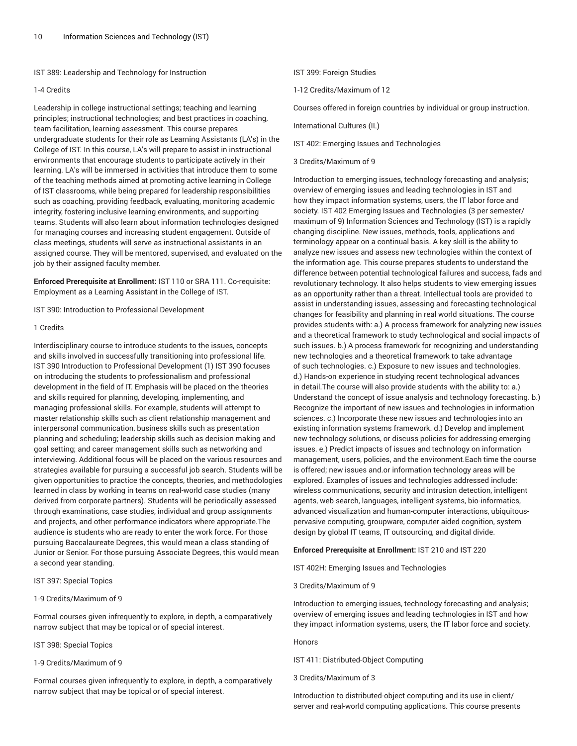IST 389: Leadership and Technology for Instruction

#### 1-4 Credits

Leadership in college instructional settings; teaching and learning principles; instructional technologies; and best practices in coaching, team facilitation, learning assessment. This course prepares undergraduate students for their role as Learning Assistants (LA's) in the College of IST. In this course, LA's will prepare to assist in instructional environments that encourage students to participate actively in their learning. LA's will be immersed in activities that introduce them to some of the teaching methods aimed at promoting active learning in College of IST classrooms, while being prepared for leadership responsibilities such as coaching, providing feedback, evaluating, monitoring academic integrity, fostering inclusive learning environments, and supporting teams. Students will also learn about information technologies designed for managing courses and increasing student engagement. Outside of class meetings, students will serve as instructional assistants in an assigned course. They will be mentored, supervised, and evaluated on the job by their assigned faculty member.

**Enforced Prerequisite at Enrollment:** IST 110 or SRA 111. Co-requisite: Employment as a Learning Assistant in the College of IST.

IST 390: Introduction to Professional Development

## 1 Credits

Interdisciplinary course to introduce students to the issues, concepts and skills involved in successfully transitioning into professional life. IST 390 Introduction to Professional Development (1) IST 390 focuses on introducing the students to professionalism and professional development in the field of IT. Emphasis will be placed on the theories and skills required for planning, developing, implementing, and managing professional skills. For example, students will attempt to master relationship skills such as client relationship management and interpersonal communication, business skills such as presentation planning and scheduling; leadership skills such as decision making and goal setting; and career management skills such as networking and interviewing. Additional focus will be placed on the various resources and strategies available for pursuing a successful job search. Students will be given opportunities to practice the concepts, theories, and methodologies learned in class by working in teams on real-world case studies (many derived from corporate partners). Students will be periodically assessed through examinations, case studies, individual and group assignments and projects, and other performance indicators where appropriate.The audience is students who are ready to enter the work force. For those pursuing Baccalaureate Degrees, this would mean a class standing of Junior or Senior. For those pursuing Associate Degrees, this would mean a second year standing.

# IST 397: Special Topics

#### 1-9 Credits/Maximum of 9

Formal courses given infrequently to explore, in depth, a comparatively narrow subject that may be topical or of special interest.

IST 398: Special Topics

1-9 Credits/Maximum of 9

Formal courses given infrequently to explore, in depth, a comparatively narrow subject that may be topical or of special interest.

IST 399: Foreign Studies

1-12 Credits/Maximum of 12

Courses offered in foreign countries by individual or group instruction.

International Cultures (IL)

IST 402: Emerging Issues and Technologies

3 Credits/Maximum of 9

Introduction to emerging issues, technology forecasting and analysis; overview of emerging issues and leading technologies in IST and how they impact information systems, users, the IT labor force and society. IST 402 Emerging Issues and Technologies (3 per semester/ maximum of 9) Information Sciences and Technology (IST) is a rapidly changing discipline. New issues, methods, tools, applications and terminology appear on a continual basis. A key skill is the ability to analyze new issues and assess new technologies within the context of the information age. This course prepares students to understand the difference between potential technological failures and success, fads and revolutionary technology. It also helps students to view emerging issues as an opportunity rather than a threat. Intellectual tools are provided to assist in understanding issues, assessing and forecasting technological changes for feasibility and planning in real world situations. The course provides students with: a.) A process framework for analyzing new issues and a theoretical framework to study technological and social impacts of such issues. b.) A process framework for recognizing and understanding new technologies and a theoretical framework to take advantage of such technologies. c.) Exposure to new issues and technologies. d.) Hands-on experience in studying recent technological advances in detail.The course will also provide students with the ability to: a.) Understand the concept of issue analysis and technology forecasting. b.) Recognize the important of new issues and technologies in information sciences. c.) Incorporate these new issues and technologies into an existing information systems framework. d.) Develop and implement new technology solutions, or discuss policies for addressing emerging issues. e.) Predict impacts of issues and technology on information management, users, policies, and the environment.Each time the course is offered; new issues and.or information technology areas will be explored. Examples of issues and technologies addressed include: wireless communications, security and intrusion detection, intelligent agents, web search, languages, intelligent systems, bio-informatics, advanced visualization and human-computer interactions, ubiquitouspervasive computing, groupware, computer aided cognition, system design by global IT teams, IT outsourcing, and digital divide.

## **Enforced Prerequisite at Enrollment:** IST 210 and IST 220

IST 402H: Emerging Issues and Technologies

## 3 Credits/Maximum of 9

Introduction to emerging issues, technology forecasting and analysis; overview of emerging issues and leading technologies in IST and how they impact information systems, users, the IT labor force and society.

# Honors

IST 411: Distributed-Object Computing

3 Credits/Maximum of 3

Introduction to distributed-object computing and its use in client/ server and real-world computing applications. This course presents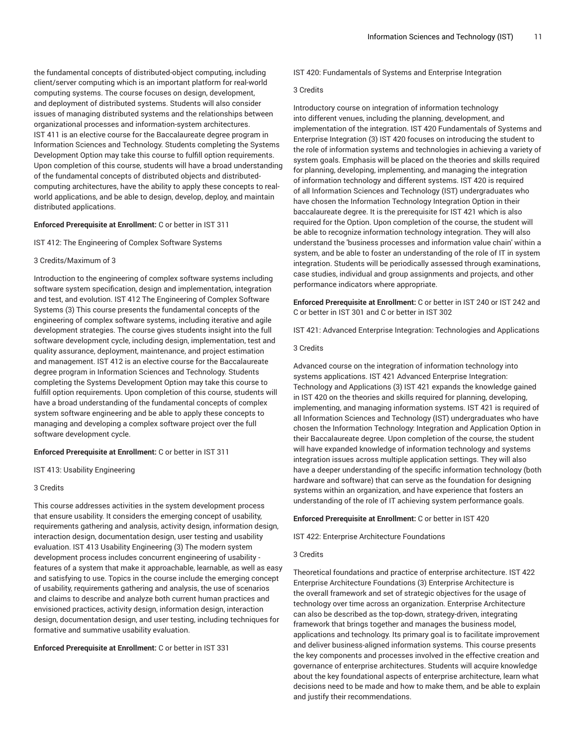the fundamental concepts of distributed-object computing, including client/server computing which is an important platform for real-world computing systems. The course focuses on design, development, and deployment of distributed systems. Students will also consider issues of managing distributed systems and the relationships between organizational processes and information-system architectures. IST 411 is an elective course for the Baccalaureate degree program in Information Sciences and Technology. Students completing the Systems Development Option may take this course to fulfill option requirements. Upon completion of this course, students will have a broad understanding of the fundamental concepts of distributed objects and distributedcomputing architectures, have the ability to apply these concepts to realworld applications, and be able to design, develop, deploy, and maintain distributed applications.

## **Enforced Prerequisite at Enrollment:** C or better in IST 311

#### IST 412: The Engineering of Complex Software Systems

## 3 Credits/Maximum of 3

Introduction to the engineering of complex software systems including software system specification, design and implementation, integration and test, and evolution. IST 412 The Engineering of Complex Software Systems (3) This course presents the fundamental concepts of the engineering of complex software systems, including iterative and agile development strategies. The course gives students insight into the full software development cycle, including design, implementation, test and quality assurance, deployment, maintenance, and project estimation and management. IST 412 is an elective course for the Baccalaureate degree program in Information Sciences and Technology. Students completing the Systems Development Option may take this course to fulfill option requirements. Upon completion of this course, students will have a broad understanding of the fundamental concepts of complex system software engineering and be able to apply these concepts to managing and developing a complex software project over the full software development cycle.

## **Enforced Prerequisite at Enrollment:** C or better in IST 311

IST 413: Usability Engineering

## 3 Credits

This course addresses activities in the system development process that ensure usability. It considers the emerging concept of usability, requirements gathering and analysis, activity design, information design, interaction design, documentation design, user testing and usability evaluation. IST 413 Usability Engineering (3) The modern system development process includes concurrent engineering of usability features of a system that make it approachable, learnable, as well as easy and satisfying to use. Topics in the course include the emerging concept of usability, requirements gathering and analysis, the use of scenarios and claims to describe and analyze both current human practices and envisioned practices, activity design, information design, interaction design, documentation design, and user testing, including techniques for formative and summative usability evaluation.

**Enforced Prerequisite at Enrollment:** C or better in IST 331

IST 420: Fundamentals of Systems and Enterprise Integration

#### 3 Credits

Introductory course on integration of information technology into different venues, including the planning, development, and implementation of the integration. IST 420 Fundamentals of Systems and Enterprise Integration (3) IST 420 focuses on introducing the student to the role of information systems and technologies in achieving a variety of system goals. Emphasis will be placed on the theories and skills required for planning, developing, implementing, and managing the integration of information technology and different systems. IST 420 is required of all Information Sciences and Technology (IST) undergraduates who have chosen the Information Technology Integration Option in their baccalaureate degree. It is the prerequisite for IST 421 which is also required for the Option. Upon completion of the course, the student will be able to recognize information technology integration. They will also understand the 'business processes and information value chain' within a system, and be able to foster an understanding of the role of IT in system integration. Students will be periodically assessed through examinations, case studies, individual and group assignments and projects, and other performance indicators where appropriate.

**Enforced Prerequisite at Enrollment:** C or better in IST 240 or IST 242 and C or better in IST 301 and C or better in IST 302

IST 421: Advanced Enterprise Integration: Technologies and Applications

## 3 Credits

Advanced course on the integration of information technology into systems applications. IST 421 Advanced Enterprise Integration: Technology and Applications (3) IST 421 expands the knowledge gained in IST 420 on the theories and skills required for planning, developing, implementing, and managing information systems. IST 421 is required of all Information Sciences and Technology (IST) undergraduates who have chosen the Information Technology: Integration and Application Option in their Baccalaureate degree. Upon completion of the course, the student will have expanded knowledge of information technology and systems integration issues across multiple application settings. They will also have a deeper understanding of the specific information technology (both hardware and software) that can serve as the foundation for designing systems within an organization, and have experience that fosters an understanding of the role of IT achieving system performance goals.

#### **Enforced Prerequisite at Enrollment:** C or better in IST 420

IST 422: Enterprise Architecture Foundations

## 3 Credits

Theoretical foundations and practice of enterprise architecture. IST 422 Enterprise Architecture Foundations (3) Enterprise Architecture is the overall framework and set of strategic objectives for the usage of technology over time across an organization. Enterprise Architecture can also be described as the top-down, strategy-driven, integrating framework that brings together and manages the business model, applications and technology. Its primary goal is to facilitate improvement and deliver business-aligned information systems. This course presents the key components and processes involved in the effective creation and governance of enterprise architectures. Students will acquire knowledge about the key foundational aspects of enterprise architecture, learn what decisions need to be made and how to make them, and be able to explain and justify their recommendations.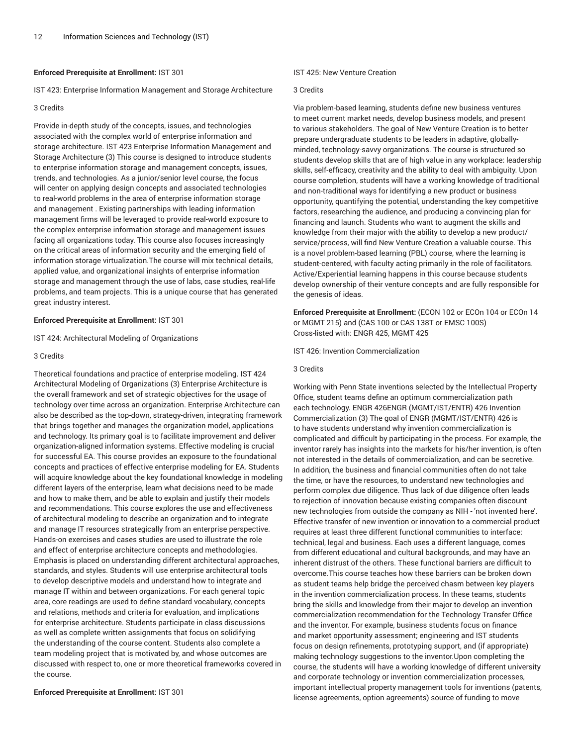## **Enforced Prerequisite at Enrollment:** IST 301

IST 423: Enterprise Information Management and Storage Architecture

#### 3 Credits

Provide in-depth study of the concepts, issues, and technologies associated with the complex world of enterprise information and storage architecture. IST 423 Enterprise Information Management and Storage Architecture (3) This course is designed to introduce students to enterprise information storage and management concepts, issues, trends, and technologies. As a junior/senior level course, the focus will center on applying design concepts and associated technologies to real-world problems in the area of enterprise information storage and management . Existing partnerships with leading information management firms will be leveraged to provide real-world exposure to the complex enterprise information storage and management issues facing all organizations today. This course also focuses increasingly on the critical areas of information security and the emerging field of information storage virtualization.The course will mix technical details, applied value, and organizational insights of enterprise information storage and management through the use of labs, case studies, real-life problems, and team projects. This is a unique course that has generated great industry interest.

## **Enforced Prerequisite at Enrollment:** IST 301

IST 424: Architectural Modeling of Organizations

## 3 Credits

Theoretical foundations and practice of enterprise modeling. IST 424 Architectural Modeling of Organizations (3) Enterprise Architecture is the overall framework and set of strategic objectives for the usage of technology over time across an organization. Enterprise Architecture can also be described as the top-down, strategy-driven, integrating framework that brings together and manages the organization model, applications and technology. Its primary goal is to facilitate improvement and deliver organization-aligned information systems. Effective modeling is crucial for successful EA. This course provides an exposure to the foundational concepts and practices of effective enterprise modeling for EA. Students will acquire knowledge about the key foundational knowledge in modeling different layers of the enterprise, learn what decisions need to be made and how to make them, and be able to explain and justify their models and recommendations. This course explores the use and effectiveness of architectural modeling to describe an organization and to integrate and manage IT resources strategically from an enterprise perspective. Hands-on exercises and cases studies are used to illustrate the role and effect of enterprise architecture concepts and methodologies. Emphasis is placed on understanding different architectural approaches, standards, and styles. Students will use enterprise architectural tools to develop descriptive models and understand how to integrate and manage IT within and between organizations. For each general topic area, core readings are used to define standard vocabulary, concepts and relations, methods and criteria for evaluation, and implications for enterprise architecture. Students participate in class discussions as well as complete written assignments that focus on solidifying the understanding of the course content. Students also complete a team modeling project that is motivated by, and whose outcomes are discussed with respect to, one or more theoretical frameworks covered in the course.

**Enforced Prerequisite at Enrollment:** IST 301

## IST 425: New Venture Creation

## 3 Credits

Via problem-based learning, students define new business ventures to meet current market needs, develop business models, and present to various stakeholders. The goal of New Venture Creation is to better prepare undergraduate students to be leaders in adaptive, globallyminded, technology-savvy organizations. The course is structured so students develop skills that are of high value in any workplace: leadership skills, self-efficacy, creativity and the ability to deal with ambiguity. Upon course completion, students will have a working knowledge of traditional and non-traditional ways for identifying a new product or business opportunity, quantifying the potential, understanding the key competitive factors, researching the audience, and producing a convincing plan for financing and launch. Students who want to augment the skills and knowledge from their major with the ability to develop a new product/ service/process, will find New Venture Creation a valuable course. This is a novel problem-based learning (PBL) course, where the learning is student-centered, with faculty acting primarily in the role of facilitators. Active/Experiential learning happens in this course because students develop ownership of their venture concepts and are fully responsible for the genesis of ideas.

**Enforced Prerequisite at Enrollment:** (ECON 102 or ECOn 104 or ECOn 14 or MGMT 215) and (CAS 100 or CAS 138T or EMSC 100S) Cross-listed with: ENGR 425, MGMT 425

IST 426: Invention Commercialization

# 3 Credits

Working with Penn State inventions selected by the Intellectual Property Office, student teams define an optimum commercialization path each technology. ENGR 426ENGR (MGMT/IST/ENTR) 426 Invention Commercialization (3) The goal of ENGR (MGMT/IST/ENTR) 426 is to have students understand why invention commercialization is complicated and difficult by participating in the process. For example, the inventor rarely has insights into the markets for his/her invention, is often not interested in the details of commercialization, and can be secretive. In addition, the business and financial communities often do not take the time, or have the resources, to understand new technologies and perform complex due diligence. Thus lack of due diligence often leads to rejection of innovation because existing companies often discount new technologies from outside the company as NIH - 'not invented here'. Effective transfer of new invention or innovation to a commercial product requires at least three different functional communities to interface: technical, legal and business. Each uses a different language, comes from different educational and cultural backgrounds, and may have an inherent distrust of the others. These functional barriers are difficult to overcome.This course teaches how these barriers can be broken down as student teams help bridge the perceived chasm between key players in the invention commercialization process. In these teams, students bring the skills and knowledge from their major to develop an invention commercialization recommendation for the Technology Transfer Office and the inventor. For example, business students focus on finance and market opportunity assessment; engineering and IST students focus on design refinements, prototyping support, and (if appropriate) making technology suggestions to the inventor.Upon completing the course, the students will have a working knowledge of different university and corporate technology or invention commercialization processes, important intellectual property management tools for inventions (patents, license agreements, option agreements) source of funding to move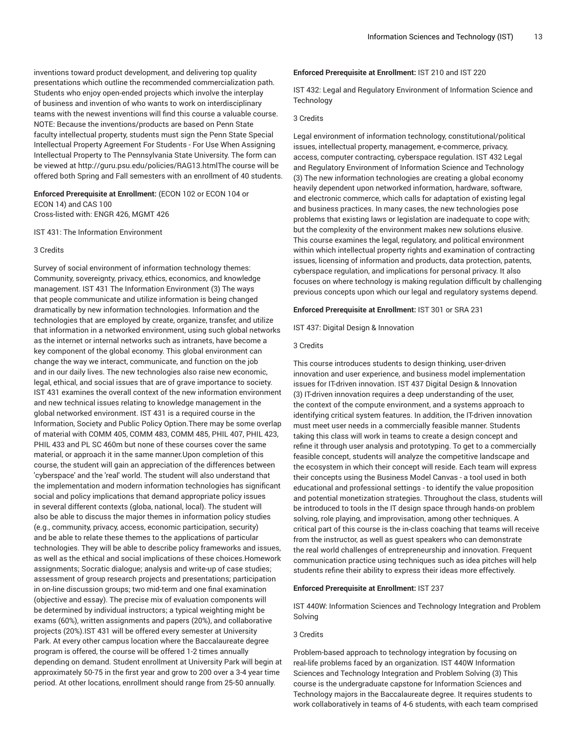inventions toward product development, and delivering top quality presentations which outline the recommended commercialization path. Students who enjoy open-ended projects which involve the interplay of business and invention of who wants to work on interdisciplinary teams with the newest inventions will find this course a valuable course. NOTE: Because the inventions/products are based on Penn State faculty intellectual property, students must sign the Penn State Special Intellectual Property Agreement For Students - For Use When Assigning Intellectual Property to The Pennsylvania State University. The form can be viewed at http://guru.psu.edu/policies/RAG13.htmlThe course will be offered both Spring and Fall semesters with an enrollment of 40 students.

# **Enforced Prerequisite at Enrollment:** (ECON 102 or ECON 104 or ECON 14) and CAS 100 Cross-listed with: ENGR 426, MGMT 426

IST 431: The Information Environment

#### 3 Credits

Survey of social environment of information technology themes: Community, sovereignty, privacy, ethics, economics, and knowledge management. IST 431 The Information Environment (3) The ways that people communicate and utilize information is being changed dramatically by new information technologies. Information and the technologies that are employed by create, organize, transfer, and utilize that information in a networked environment, using such global networks as the internet or internal networks such as intranets, have become a key component of the global economy. This global environment can change the way we interact, communicate, and function on the job and in our daily lives. The new technologies also raise new economic, legal, ethical, and social issues that are of grave importance to society. IST 431 examines the overall context of the new information environment and new technical issues relating to knowledge management in the global networked environment. IST 431 is a required course in the Information, Society and Public Policy Option.There may be some overlap of material with COMM 405, COMM 483, COMM 485, PHIL 407, PHIL 423, PHIL 433 and PL SC 460m but none of these courses cover the same material, or approach it in the same manner.Upon completion of this course, the student will gain an appreciation of the differences between 'cyberspace' and the 'real' world. The student will also understand that the implementation and modern information technologies has significant social and policy implications that demand appropriate policy issues in several different contexts (globa, national, local). The student will also be able to discuss the major themes in information policy studies (e.g., community, privacy, access, economic participation, security) and be able to relate these themes to the applications of particular technologies. They will be able to describe policy frameworks and issues, as well as the ethical and social implications of these choices.Homework assignments; Socratic dialogue; analysis and write-up of case studies; assessment of group research projects and presentations; participation in on-line discussion groups; two mid-term and one final examination (objective and essay). The precise mix of evaluation components will be determined by individual instructors; a typical weighting might be exams (60%), written assignments and papers (20%), and collaborative projects (20%).IST 431 will be offered every semester at University Park. At every other campus location where the Baccalaureate degree program is offered, the course will be offered 1-2 times annually depending on demand. Student enrollment at University Park will begin at approximately 50-75 in the first year and grow to 200 over a 3-4 year time period. At other locations, enrollment should range from 25-50 annually.

## **Enforced Prerequisite at Enrollment:** IST 210 and IST 220

IST 432: Legal and Regulatory Environment of Information Science and **Technology** 

#### 3 Credits

Legal environment of information technology, constitutional/political issues, intellectual property, management, e-commerce, privacy, access, computer contracting, cyberspace regulation. IST 432 Legal and Regulatory Environment of Information Science and Technology (3) The new information technologies are creating a global economy heavily dependent upon networked information, hardware, software, and electronic commerce, which calls for adaptation of existing legal and business practices. In many cases, the new technologies pose problems that existing laws or legislation are inadequate to cope with; but the complexity of the environment makes new solutions elusive. This course examines the legal, regulatory, and political environment within which intellectual property rights and examination of contracting issues, licensing of information and products, data protection, patents, cyberspace regulation, and implications for personal privacy. It also focuses on where technology is making regulation difficult by challenging previous concepts upon which our legal and regulatory systems depend.

**Enforced Prerequisite at Enrollment:** IST 301 or SRA 231

IST 437: Digital Design & Innovation

## 3 Credits

This course introduces students to design thinking, user-driven innovation and user experience, and business model implementation issues for IT-driven innovation. IST 437 Digital Design & Innovation (3) IT-driven innovation requires a deep understanding of the user, the context of the compute environment, and a systems approach to identifying critical system features. In addition, the IT-driven innovation must meet user needs in a commercially feasible manner. Students taking this class will work in teams to create a design concept and refine it through user analysis and prototyping. To get to a commercially feasible concept, students will analyze the competitive landscape and the ecosystem in which their concept will reside. Each team will express their concepts using the Business Model Canvas - a tool used in both educational and professional settings - to identify the value proposition and potential monetization strategies. Throughout the class, students will be introduced to tools in the IT design space through hands-on problem solving, role playing, and improvisation, among other techniques. A critical part of this course is the in-class coaching that teams will receive from the instructor, as well as guest speakers who can demonstrate the real world challenges of entrepreneurship and innovation. Frequent communication practice using techniques such as idea pitches will help students refine their ability to express their ideas more effectively.

## **Enforced Prerequisite at Enrollment:** IST 237

IST 440W: Information Sciences and Technology Integration and Problem Solving

## 3 Credits

Problem-based approach to technology integration by focusing on real-life problems faced by an organization. IST 440W Information Sciences and Technology Integration and Problem Solving (3) This course is the undergraduate capstone for Information Sciences and Technology majors in the Baccalaureate degree. It requires students to work collaboratively in teams of 4-6 students, with each team comprised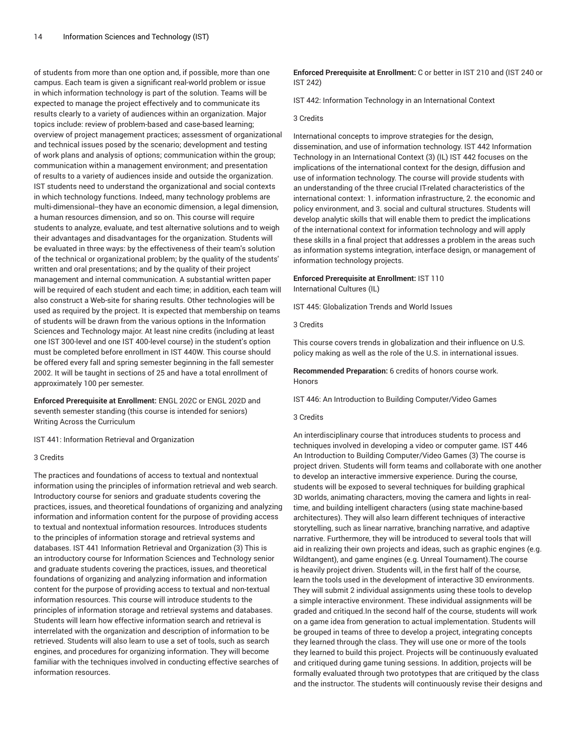of students from more than one option and, if possible, more than one campus. Each team is given a significant real-world problem or issue in which information technology is part of the solution. Teams will be expected to manage the project effectively and to communicate its results clearly to a variety of audiences within an organization. Major topics include: review of problem-based and case-based learning; overview of project management practices; assessment of organizational and technical issues posed by the scenario; development and testing of work plans and analysis of options; communication within the group; communication within a management environment; and presentation of results to a variety of audiences inside and outside the organization. IST students need to understand the organizational and social contexts in which technology functions. Indeed, many technology problems are multi-dimensional--they have an economic dimension, a legal dimension, a human resources dimension, and so on. This course will require students to analyze, evaluate, and test alternative solutions and to weigh their advantages and disadvantages for the organization. Students will be evaluated in three ways: by the effectiveness of their team's solution of the technical or organizational problem; by the quality of the students' written and oral presentations; and by the quality of their project management and internal communication. A substantial written paper will be required of each student and each time; in addition, each team will also construct a Web-site for sharing results. Other technologies will be used as required by the project. It is expected that membership on teams of students will be drawn from the various options in the Information Sciences and Technology major. At least nine credits (including at least one IST 300-level and one IST 400-level course) in the student's option must be completed before enrollment in IST 440W. This course should be offered every fall and spring semester beginning in the fall semester 2002. It will be taught in sections of 25 and have a total enrollment of approximately 100 per semester.

**Enforced Prerequisite at Enrollment:** ENGL 202C or ENGL 202D and seventh semester standing (this course is intended for seniors) Writing Across the Curriculum

IST 441: Information Retrieval and Organization

## 3 Credits

The practices and foundations of access to textual and nontextual information using the principles of information retrieval and web search. Introductory course for seniors and graduate students covering the practices, issues, and theoretical foundations of organizing and analyzing information and information content for the purpose of providing access to textual and nontextual information resources. Introduces students to the principles of information storage and retrieval systems and databases. IST 441 Information Retrieval and Organization (3) This is an introductory course for Information Sciences and Technology senior and graduate students covering the practices, issues, and theoretical foundations of organizing and analyzing information and information content for the purpose of providing access to textual and non-textual information resources. This course will introduce students to the principles of information storage and retrieval systems and databases. Students will learn how effective information search and retrieval is interrelated with the organization and description of information to be retrieved. Students will also learn to use a set of tools, such as search engines, and procedures for organizing information. They will become familiar with the techniques involved in conducting effective searches of information resources.

**Enforced Prerequisite at Enrollment:** C or better in IST 210 and (IST 240 or IST 242)

IST 442: Information Technology in an International Context

## 3 Credits

International concepts to improve strategies for the design, dissemination, and use of information technology. IST 442 Information Technology in an International Context (3) (IL) IST 442 focuses on the implications of the international context for the design, diffusion and use of information technology. The course will provide students with an understanding of the three crucial IT-related characteristics of the international context: 1. information infrastructure, 2. the economic and policy environment, and 3. social and cultural structures. Students will develop analytic skills that will enable them to predict the implications of the international context for information technology and will apply these skills in a final project that addresses a problem in the areas such as information systems integration, interface design, or management of information technology projects.

# **Enforced Prerequisite at Enrollment:** IST 110 International Cultures (IL)

IST 445: Globalization Trends and World Issues

## 3 Credits

This course covers trends in globalization and their influence on U.S. policy making as well as the role of the U.S. in international issues.

**Recommended Preparation:** 6 credits of honors course work. Honors

IST 446: An Introduction to Building Computer/Video Games

#### 3 Credits

An interdisciplinary course that introduces students to process and techniques involved in developing a video or computer game. IST 446 An Introduction to Building Computer/Video Games (3) The course is project driven. Students will form teams and collaborate with one another to develop an interactive immersive experience. During the course, students will be exposed to several techniques for building graphical 3D worlds, animating characters, moving the camera and lights in realtime, and building intelligent characters (using state machine-based architectures). They will also learn different techniques of interactive storytelling, such as linear narrative, branching narrative, and adaptive narrative. Furthermore, they will be introduced to several tools that will aid in realizing their own projects and ideas, such as graphic engines (e.g. Wildtangent), and game engines (e.g. Unreal Tournament).The course is heavily project driven. Students will, in the first half of the course, learn the tools used in the development of interactive 3D environments. They will submit 2 individual assignments using these tools to develop a simple interactive environment. These individual assignments will be graded and critiqued.In the second half of the course, students will work on a game idea from generation to actual implementation. Students will be grouped in teams of three to develop a project, integrating concepts they learned through the class. They will use one or more of the tools they learned to build this project. Projects will be continuously evaluated and critiqued during game tuning sessions. In addition, projects will be formally evaluated through two prototypes that are critiqued by the class and the instructor. The students will continuously revise their designs and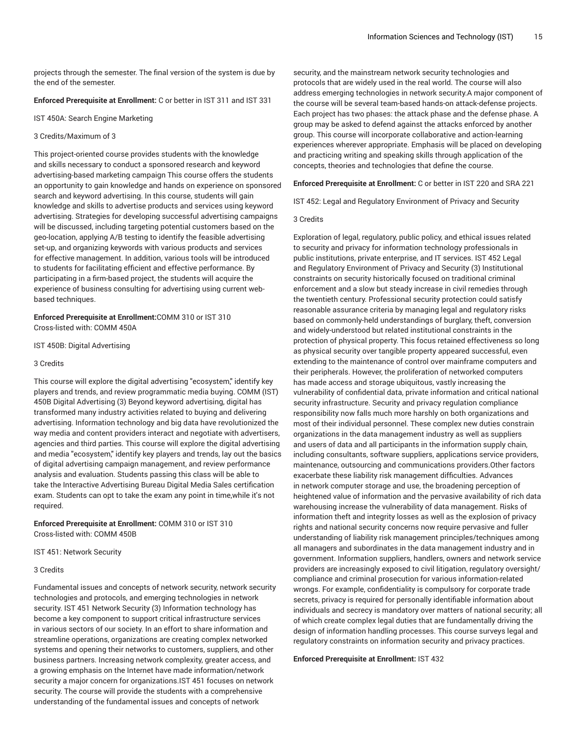projects through the semester. The final version of the system is due by the end of the semester.

**Enforced Prerequisite at Enrollment:** C or better in IST 311 and IST 331

IST 450A: Search Engine Marketing

#### 3 Credits/Maximum of 3

This project-oriented course provides students with the knowledge and skills necessary to conduct a sponsored research and keyword advertising-based marketing campaign This course offers the students an opportunity to gain knowledge and hands on experience on sponsored search and keyword advertising. In this course, students will gain knowledge and skills to advertise products and services using keyword advertising. Strategies for developing successful advertising campaigns will be discussed, including targeting potential customers based on the geo-location, applying A/B testing to identify the feasible advertising set-up, and organizing keywords with various products and services for effective management. In addition, various tools will be introduced to students for facilitating efficient and effective performance. By participating in a firm-based project, the students will acquire the experience of business consulting for advertising using current webbased techniques.

**Enforced Prerequisite at Enrollment:**COMM 310 or IST 310 Cross-listed with: COMM 450A

IST 450B: Digital Advertising

# 3 Credits

This course will explore the digital advertising "ecosystem," identify key players and trends, and review programmatic media buying. COMM (IST) 450B Digital Advertising (3) Beyond keyword advertising, digital has transformed many industry activities related to buying and delivering advertising. Information technology and big data have revolutionized the way media and content providers interact and negotiate with advertisers, agencies and third parties. This course will explore the digital advertising and media "ecosystem," identify key players and trends, lay out the basics of digital advertising campaign management, and review performance analysis and evaluation. Students passing this class will be able to take the Interactive Advertising Bureau Digital Media Sales certification exam. Students can opt to take the exam any point in time,while it's not required.

**Enforced Prerequisite at Enrollment:** COMM 310 or IST 310 Cross-listed with: COMM 450B

IST 451: Network Security

## 3 Credits

Fundamental issues and concepts of network security, network security technologies and protocols, and emerging technologies in network security. IST 451 Network Security (3) Information technology has become a key component to support critical infrastructure services in various sectors of our society. In an effort to share information and streamline operations, organizations are creating complex networked systems and opening their networks to customers, suppliers, and other business partners. Increasing network complexity, greater access, and a growing emphasis on the Internet have made information/network security a major concern for organizations.IST 451 focuses on network security. The course will provide the students with a comprehensive understanding of the fundamental issues and concepts of network

security, and the mainstream network security technologies and protocols that are widely used in the real world. The course will also address emerging technologies in network security.A major component of the course will be several team-based hands-on attack-defense projects. Each project has two phases: the attack phase and the defense phase. A group may be asked to defend against the attacks enforced by another group. This course will incorporate collaborative and action-learning experiences wherever appropriate. Emphasis will be placed on developing and practicing writing and speaking skills through application of the concepts, theories and technologies that define the course.

**Enforced Prerequisite at Enrollment:** C or better in IST 220 and SRA 221

IST 452: Legal and Regulatory Environment of Privacy and Security

3 Credits

Exploration of legal, regulatory, public policy, and ethical issues related to security and privacy for information technology professionals in public institutions, private enterprise, and IT services. IST 452 Legal and Regulatory Environment of Privacy and Security (3) Institutional constraints on security historically focused on traditional criminal enforcement and a slow but steady increase in civil remedies through the twentieth century. Professional security protection could satisfy reasonable assurance criteria by managing legal and regulatory risks based on commonly-held understandings of burglary, theft, conversion and widely-understood but related institutional constraints in the protection of physical property. This focus retained effectiveness so long as physical security over tangible property appeared successful, even extending to the maintenance of control over mainframe computers and their peripherals. However, the proliferation of networked computers has made access and storage ubiquitous, vastly increasing the vulnerability of confidential data, private information and critical national security infrastructure. Security and privacy regulation compliance responsibility now falls much more harshly on both organizations and most of their individual personnel. These complex new duties constrain organizations in the data management industry as well as suppliers and users of data and all participants in the information supply chain, including consultants, software suppliers, applications service providers, maintenance, outsourcing and communications providers.Other factors exacerbate these liability risk management difficulties. Advances in network computer storage and use, the broadening perception of heightened value of information and the pervasive availability of rich data warehousing increase the vulnerability of data management. Risks of information theft and integrity losses as well as the explosion of privacy rights and national security concerns now require pervasive and fuller understanding of liability risk management principles/techniques among all managers and subordinates in the data management industry and in government. Information suppliers, handlers, owners and network service providers are increasingly exposed to civil litigation, regulatory oversight/ compliance and criminal prosecution for various information-related wrongs. For example, confidentiality is compulsory for corporate trade secrets, privacy is required for personally identifiable information about individuals and secrecy is mandatory over matters of national security; all of which create complex legal duties that are fundamentally driving the design of information handling processes. This course surveys legal and regulatory constraints on information security and privacy practices.

**Enforced Prerequisite at Enrollment:** IST 432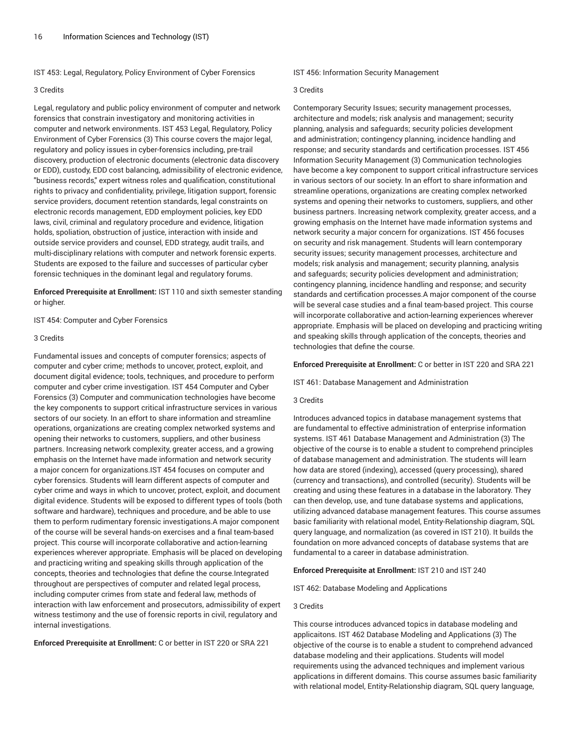IST 453: Legal, Regulatory, Policy Environment of Cyber Forensics

### 3 Credits

Legal, regulatory and public policy environment of computer and network forensics that constrain investigatory and monitoring activities in computer and network environments. IST 453 Legal, Regulatory, Policy Environment of Cyber Forensics (3) This course covers the major legal, regulatory and policy issues in cyber-forensics including, pre-trail discovery, production of electronic documents (electronic data discovery or EDD), custody, EDD cost balancing, admissibility of electronic evidence, "business records," expert witness roles and qualification, constitutional rights to privacy and confidentiality, privilege, litigation support, forensic service providers, document retention standards, legal constraints on electronic records management, EDD employment policies, key EDD laws, civil, criminal and regulatory procedure and evidence, litigation holds, spoliation, obstruction of justice, interaction with inside and outside service providers and counsel, EDD strategy, audit trails, and multi-disciplinary relations with computer and network forensic experts. Students are exposed to the failure and successes of particular cyber forensic techniques in the dominant legal and regulatory forums.

**Enforced Prerequisite at Enrollment:** IST 110 and sixth semester standing or higher.

IST 454: Computer and Cyber Forensics

## 3 Credits

Fundamental issues and concepts of computer forensics; aspects of computer and cyber crime; methods to uncover, protect, exploit, and document digital evidence; tools, techniques, and procedure to perform computer and cyber crime investigation. IST 454 Computer and Cyber Forensics (3) Computer and communication technologies have become the key components to support critical infrastructure services in various sectors of our society. In an effort to share information and streamline operations, organizations are creating complex networked systems and opening their networks to customers, suppliers, and other business partners. Increasing network complexity, greater access, and a growing emphasis on the Internet have made information and network security a major concern for organizations.IST 454 focuses on computer and cyber forensics. Students will learn different aspects of computer and cyber crime and ways in which to uncover, protect, exploit, and document digital evidence. Students will be exposed to different types of tools (both software and hardware), techniques and procedure, and be able to use them to perform rudimentary forensic investigations.A major component of the course will be several hands-on exercises and a final team-based project. This course will incorporate collaborative and action-learning experiences wherever appropriate. Emphasis will be placed on developing and practicing writing and speaking skills through application of the concepts, theories and technologies that define the course.Integrated throughout are perspectives of computer and related legal process, including computer crimes from state and federal law, methods of interaction with law enforcement and prosecutors, admissibility of expert witness testimony and the use of forensic reports in civil, regulatory and internal investigations.

**Enforced Prerequisite at Enrollment:** C or better in IST 220 or SRA 221

IST 456: Information Security Management

### 3 Credits

Contemporary Security Issues; security management processes, architecture and models; risk analysis and management; security planning, analysis and safeguards; security policies development and administration; contingency planning, incidence handling and response; and security standards and certification processes. IST 456 Information Security Management (3) Communication technologies have become a key component to support critical infrastructure services in various sectors of our society. In an effort to share information and streamline operations, organizations are creating complex networked systems and opening their networks to customers, suppliers, and other business partners. Increasing network complexity, greater access, and a growing emphasis on the Internet have made information systems and network security a major concern for organizations. IST 456 focuses on security and risk management. Students will learn contemporary security issues; security management processes, architecture and models; risk analysis and management; security planning, analysis and safeguards; security policies development and administration; contingency planning, incidence handling and response; and security standards and certification processes.A major component of the course will be several case studies and a final team-based project. This course will incorporate collaborative and action-learning experiences wherever appropriate. Emphasis will be placed on developing and practicing writing and speaking skills through application of the concepts, theories and technologies that define the course.

**Enforced Prerequisite at Enrollment:** C or better in IST 220 and SRA 221

IST 461: Database Management and Administration

## 3 Credits

Introduces advanced topics in database management systems that are fundamental to effective administration of enterprise information systems. IST 461 Database Management and Administration (3) The objective of the course is to enable a student to comprehend principles of database management and administration. The students will learn how data are stored (indexing), accessed (query processing), shared (currency and transactions), and controlled (security). Students will be creating and using these features in a database in the laboratory. They can then develop, use, and tune database systems and applications, utilizing advanced database management features. This course assumes basic familiarity with relational model, Entity-Relationship diagram, SQL query language, and normalization (as covered in IST 210). It builds the foundation on more advanced concepts of database systems that are fundamental to a career in database administration.

#### **Enforced Prerequisite at Enrollment:** IST 210 and IST 240

IST 462: Database Modeling and Applications

## 3 Credits

This course introduces advanced topics in database modeling and applicaitons. IST 462 Database Modeling and Applications (3) The objective of the course is to enable a student to comprehend advanced database modeling and their applications. Students will model requirements using the advanced techniques and implement various applications in different domains. This course assumes basic familiarity with relational model, Entity-Relationship diagram, SQL query language,